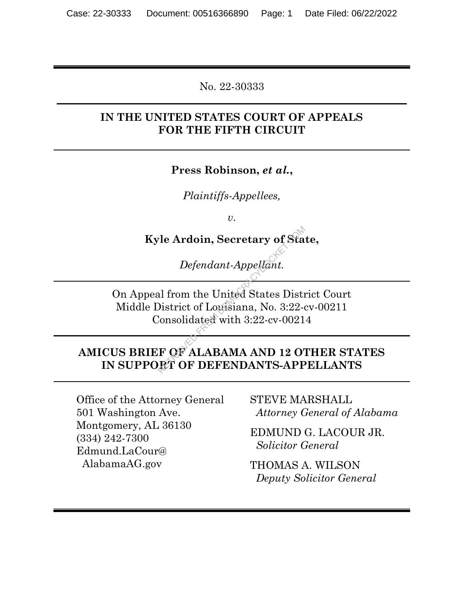No. 22-30333  $\mathcal{L}_\mathcal{L} = \mathcal{L}_\mathcal{L} = \mathcal{L}_\mathcal{L} = \mathcal{L}_\mathcal{L} = \mathcal{L}_\mathcal{L} = \mathcal{L}_\mathcal{L} = \mathcal{L}_\mathcal{L} = \mathcal{L}_\mathcal{L} = \mathcal{L}_\mathcal{L} = \mathcal{L}_\mathcal{L} = \mathcal{L}_\mathcal{L} = \mathcal{L}_\mathcal{L} = \mathcal{L}_\mathcal{L} = \mathcal{L}_\mathcal{L} = \mathcal{L}_\mathcal{L} = \mathcal{L}_\mathcal{L} = \mathcal{L}_\mathcal{L}$ 

## IN THE UNITED STATES COURT OF APPEALS FOR THE FIFTH CIRCUIT

Press Robinson, et al.,

Plaintiffs-Appellees,

 $U<sub>1</sub>$ 

Kyle Ardoin, Secretary of State,

Defendant-Appellant.

On Appeal from the United States District Court Middle District of Louisiana, No. 3:22-cv-00211 Consolidated with 3:22-cv-00214 The Ardoin, Secretary of Sta<br>
Defendant-Appellant.<br>
al from the United States District of Louisiana, No. 3:22-0<br>
Consolidated with 3:22-cv-0021<br>
F OF ALABAMA AND 12 OT RT OF DEFENDANTS-APP

## AMICUS BRIEF OF ALABAMA AND 12 OTHER STATES IN SUPPORT OF DEFENDANTS-APPELLANTS

Office of the Attorney General 501 Washington Ave. Montgomery, AL 36130 (334) 242-7300 Edmund.LaCour@ AlabamaAG.gov

STEVE MARSHALL Attorney General of Alabama

EDMUND G. LACOUR JR. Solicitor General

THOMAS A. WILSON Deputy Solicitor General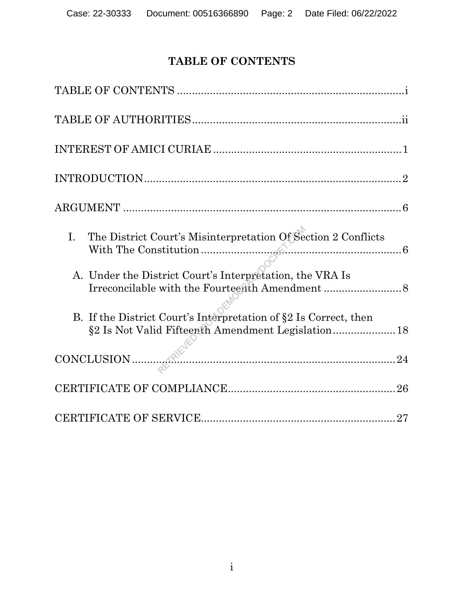# TABLE OF CONTENTS

| The District Court's Misinterpretation Of Section 2 Conflicts<br>I.                                                    |
|------------------------------------------------------------------------------------------------------------------------|
| A. Under the District Court's Interpretation, the VRA Is                                                               |
| B. If the District Court's Interpretation of §2 Is Correct, then<br>§2 Is Not Valid Fifteenth Amendment Legislation 18 |
|                                                                                                                        |
|                                                                                                                        |
|                                                                                                                        |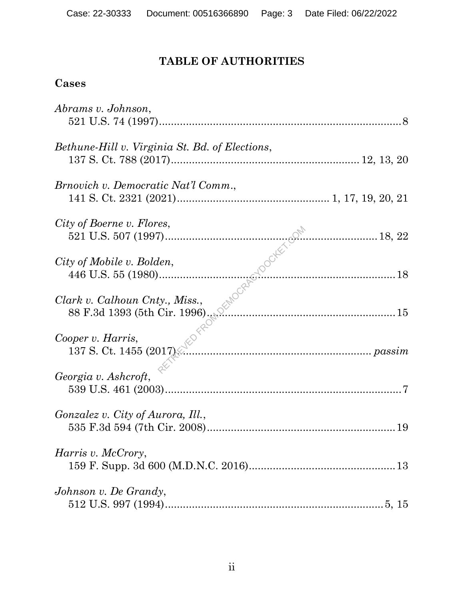# TABLE OF AUTHORITIES

## Cases

| Abrams v. Johnson,                                             |
|----------------------------------------------------------------|
| Bethune-Hill v. Virginia St. Bd. of Elections,                 |
| <i>Brnovich v. Democratic Nat'l Comm.</i> ,                    |
| City of Boerne v. Flores,                                      |
| City of Mobile v. Bolden,                                      |
| Clark v. Calhoun Cnty., Miss.,                                 |
| oper v. Harris,<br>137 S. Ct. 1455 (2017)<br>Cooper v. Harris, |
| Georgia v. Ashcroft,                                           |
| Gonzalez v. City of Aurora, Ill.,                              |
| <i>Harris v. McCrory,</i>                                      |
| Johnson v. De Grandy,                                          |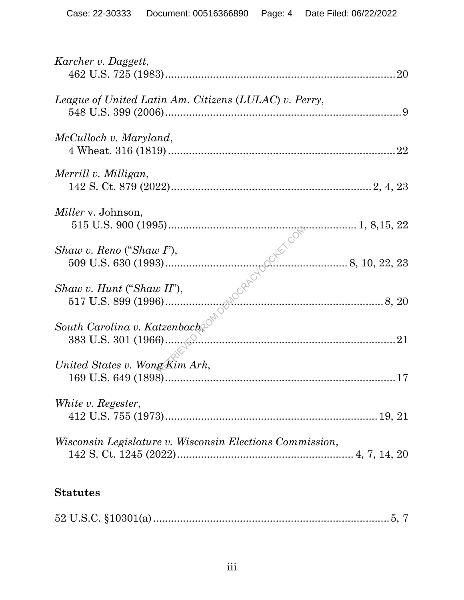| Karcher v. Daggett,                                             |
|-----------------------------------------------------------------|
| League of United Latin Am. Citizens (LULAC) v. Perry,           |
| McCulloch v. Maryland,                                          |
| Merrill v. Milligan,                                            |
| <i>Miller</i> v. Johnson,                                       |
| $Shaw$ v. Reno ("Shaw I"),                                      |
|                                                                 |
|                                                                 |
| United States v. Wong Kim Ark,                                  |
| White v. Regester,                                              |
| <i>Wisconsin Legislature v. Wisconsin Elections Commission,</i> |

# Statutes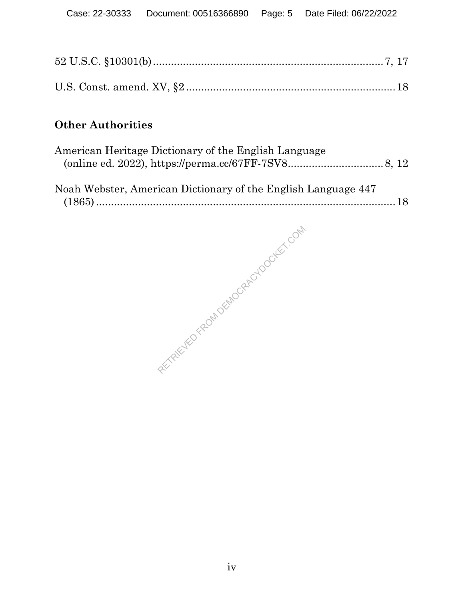## Other Authorities

| American Heritage Dictionary of the English Language          |  |
|---------------------------------------------------------------|--|
| Noah Webster, American Dictionary of the English Language 447 |  |

RETRIEVED FROM DEMOCRACYDOCKET.COM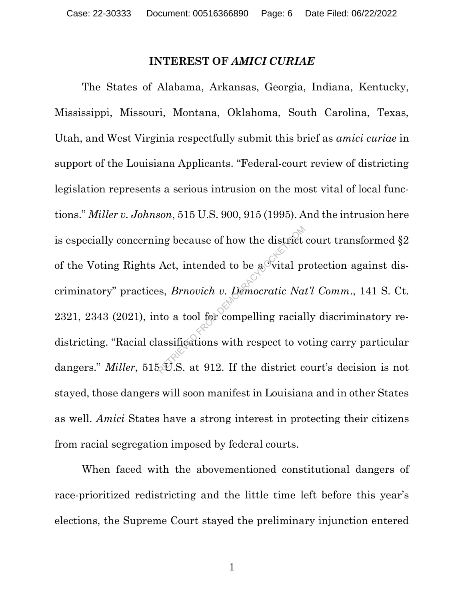#### INTEREST OF AMICI CURIAE

The States of Alabama, Arkansas, Georgia, Indiana, Kentucky, Mississippi, Missouri, Montana, Oklahoma, South Carolina, Texas, Utah, and West Virginia respectfully submit this brief as amici curiae in support of the Louisiana Applicants. "Federal-court review of districting legislation represents a serious intrusion on the most vital of local functions." Miller v. Johnson, 515 U.S. 900, 915 (1995). And the intrusion here is especially concerning because of how the district court transformed §2 of the Voting Rights Act, intended to be a vital protection against discriminatory" practices, Brnovich v. Democratic Nat'l Comm., 141 S. Ct. 2321, 2343 (2021), into a tool for compelling racially discriminatory redistricting. "Racial classifications with respect to voting carry particular dangers." *Miller*, 515 $\mathcal{D}$ . S. at 912. If the district court's decision is not stayed, those dangers will soon manifest in Louisiana and in other States as well. Amici States have a strong interest in protecting their citizens from racial segregation imposed by federal courts. mg because of how the district<br>Act, intended to be a vital provided by the set of the set of the set of the set of the same and<br>assifications with respect to vote that is set of the district compelling racial<br>set of the d

When faced with the abovementioned constitutional dangers of race-prioritized redistricting and the little time left before this year's elections, the Supreme Court stayed the preliminary injunction entered

1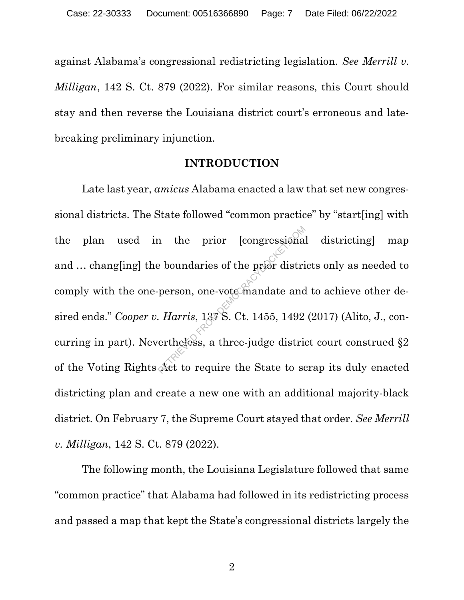against Alabama's congressional redistricting legislation. See Merrill v. Milligan, 142 S. Ct. 879 (2022). For similar reasons, this Court should stay and then reverse the Louisiana district court's erroneous and latebreaking preliminary injunction.

### INTRODUCTION

Late last year, amicus Alabama enacted a law that set new congressional districts. The State followed "common practice" by "start[ing] with the plan used in the prior [congressional districting] map and ... chang[ing] the boundaries of the prior districts only as needed to comply with the one-person, one-vote mandate and to achieve other desired ends." Cooper v. Harris, 137 S. Ct. 1455, 1492 (2017) (Alito, J., concurring in part). Nevertheless, a three-judge district court construed §2 of the Voting Rights Act to require the State to scrap its duly enacted districting plan and create a new one with an additional majority-black district. On February 7, the Supreme Court stayed that order. See Merrill v. Milligan, 142 S. Ct. 879 (2022). The prior [congressiona]<br>Preson, one-vote mandate and<br>*Harris*, 137 S. Ct. 1455, 1492<br>ertheless, a three-judge districted:

The following month, the Louisiana Legislature followed that same "common practice" that Alabama had followed in its redistricting process and passed a map that kept the State's congressional districts largely the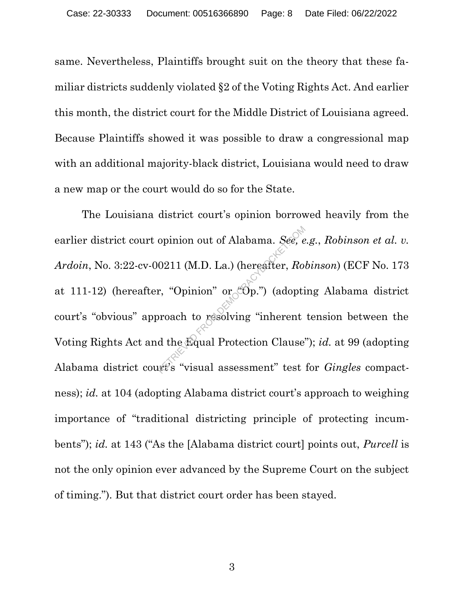same. Nevertheless, Plaintiffs brought suit on the theory that these familiar districts suddenly violated §2 of the Voting Rights Act. And earlier this month, the district court for the Middle District of Louisiana agreed. Because Plaintiffs showed it was possible to draw a congressional map with an additional majority-black district, Louisiana would need to draw a new map or the court would do so for the State.

The Louisiana district court's opinion borrowed heavily from the earlier district court opinion out of Alabama. See, e.g., Robinson et al. v. Ardoin, No. 3:22-cv-00211 (M.D. La.) (hereafter, Robinson) (ECF No. 173 at 111-12) (hereafter, "Opinion" or  $\mathcal{O}_P$ ") (adopting Alabama district court's "obvious" approach to resolving "inherent tension between the Voting Rights Act and the Equal Protection Clause"); id. at 99 (adopting Alabama district court's "visual assessment" test for Gingles compactness); id. at 104 (adopting Alabama district court's approach to weighing importance of "traditional districting principle of protecting incumbents"); id. at 143 ("As the [Alabama district court] points out, *Purcell* is not the only opinion ever advanced by the Supreme Court on the subject of timing."). But that district court order has been stayed. opinion out of Alabama. *See*, e<br>0211 (M.D. La.) (hereafter, Ro.<br>r. "Opinion" or "Op.") (adopti<br>proach to resolving "inherent<br>d the Equal Protection Clause"<br>webs "visual assessment" test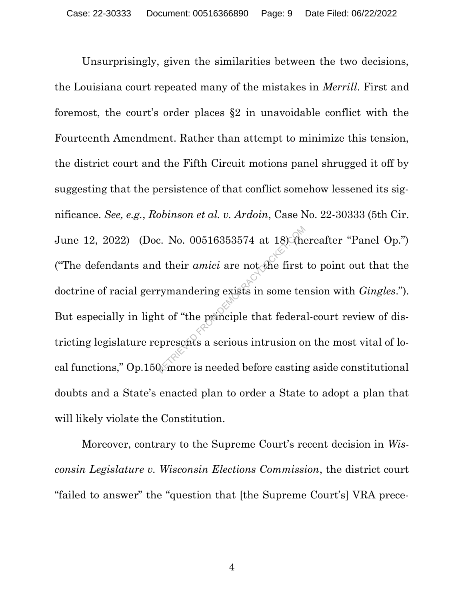Unsurprisingly, given the similarities between the two decisions, the Louisiana court repeated many of the mistakes in Merrill. First and foremost, the court's order places §2 in unavoidable conflict with the Fourteenth Amendment. Rather than attempt to minimize this tension, the district court and the Fifth Circuit motions panel shrugged it off by suggesting that the persistence of that conflict somehow lessened its significance. See, e.g., Robinson et al. v. Ardoin, Case No. 22-30333 (5th Cir. June 12, 2022) (Doc. No. 00516353574 at 18) (hereafter "Panel Op.") ("The defendants and their  $amici$  are not the first to point out that the doctrine of racial gerrymandering exists in some tension with Gingles."). But especially in light of "the principle that federal-court review of districting legislature represents a serious intrusion on the most vital of local functions," Op.150, more is needed before casting aside constitutional doubts and a State's enacted plan to order a State to adopt a plan that will likely violate the Constitution.  $R$ . No. 00516353574 at 18) their *amici* are not the first<br>rymandering exists in some tent of "the principle that federa<br>epresents a serious intrusion of  $\frac{R}{R}$  more is needed before casting

Moreover, contrary to the Supreme Court's recent decision in Wisconsin Legislature v. Wisconsin Elections Commission, the district court "failed to answer" the "question that [the Supreme Court's] VRA prece-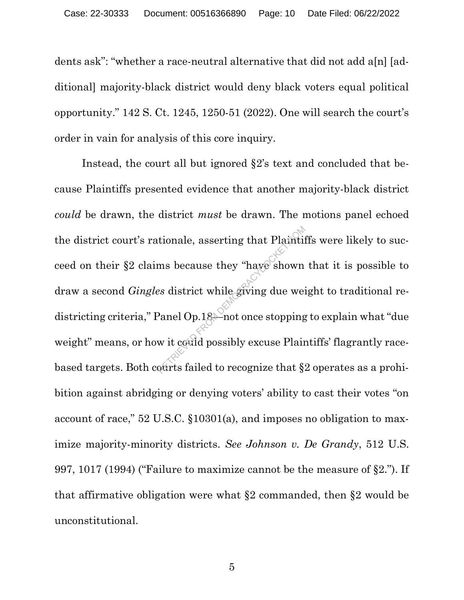dents ask": "whether a race-neutral alternative that did not add a[n] [additional] majority-black district would deny black voters equal political opportunity." 142 S. Ct. 1245, 1250-51 (2022). One will search the court's order in vain for analysis of this core inquiry.

Instead, the court all but ignored §2's text and concluded that because Plaintiffs presented evidence that another majority-black district could be drawn, the district must be drawn. The motions panel echoed the district court's rationale, asserting that Plaintiffs were likely to succeed on their §2 claims because they "have shown that it is possible to draw a second Gingles district while giving due weight to traditional redistricting criteria," Panel Op.18—not once stopping to explain what "due weight" means, or how it could possibly excuse Plaintiffs' flagrantly racebased targets. Both courts failed to recognize that §2 operates as a prohibition against abridging or denying voters' ability to cast their votes "on account of race," 52 U.S.C. §10301(a), and imposes no obligation to maximize majority-minority districts. See Johnson v. De Grandy, 512 U.S. 997, 1017 (1994) ("Failure to maximize cannot be the measure of §2."). If that affirmative obligation were what §2 commanded, then §2 would be unconstitutional. tionale, asserting that Plaintif<br>
ms because they "have shown<br>
es district while giving due wei<br>
Panel Op.18<sup>2</sup>-not once stopping<br>
w it could possibly excuse Plain<br>
ourts failed to recognize that §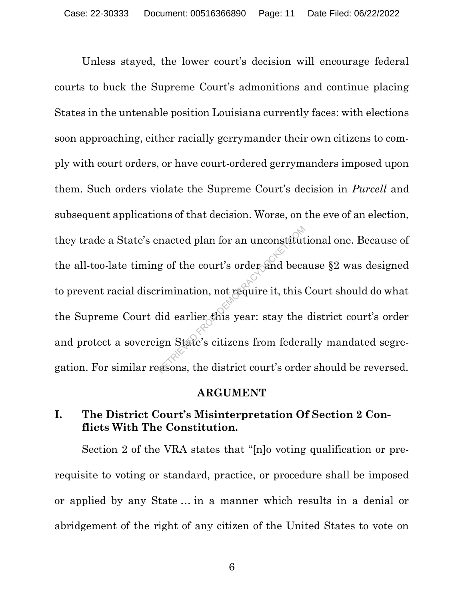Unless stayed, the lower court's decision will encourage federal courts to buck the Supreme Court's admonitions and continue placing States in the untenable position Louisiana currently faces: with elections soon approaching, either racially gerrymander their own citizens to comply with court orders, or have court-ordered gerrymanders imposed upon them. Such orders violate the Supreme Court's decision in Purcell and subsequent applications of that decision. Worse, on the eve of an election, they trade a State's enacted plan for an unconstitutional one. Because of the all-too-late timing of the court's order and because §2 was designed to prevent racial discrimination, not require it, this Court should do what the Supreme Court did earlier this year: stay the district court's order and protect a sovereign State's citizens from federally mandated segregation. For similar reasons, the district court's order should be reversed. macted plan for an unconstitut<br>g of the court's order and becar<br>rimination, not require it, this<br>did earlier this year: stay the<br>ign State's citizens from feder:<br>asons, the district court's order:

#### ARGUMENT

## I. The District Court's Misinterpretation Of Section 2 Conflicts With The Constitution.

Section 2 of the VRA states that "[n]o voting qualification or prerequisite to voting or standard, practice, or procedure shall be imposed or applied by any State … in a manner which results in a denial or abridgement of the right of any citizen of the United States to vote on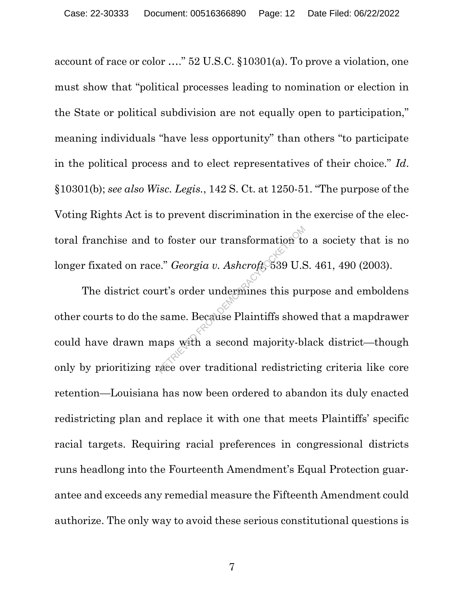account of race or color …." 52 U.S.C. §10301(a). To prove a violation, one must show that "political processes leading to nomination or election in the State or political subdivision are not equally open to participation," meaning individuals "have less opportunity" than others "to participate in the political process and to elect representatives of their choice." Id. §10301(b); see also Wisc. Legis., 142 S. Ct. at 1250-51. "The purpose of the Voting Rights Act is to prevent discrimination in the exercise of the electoral franchise and to foster our transformation to a society that is no longer fixated on race." Georgia v. Ashcroft, 539 U.S. 461, 490 (2003).

The district court's order undermines this purpose and emboldens other courts to do the same. Because Plaintiffs showed that a mapdrawer could have drawn maps with a second majority-black district—though only by prioritizing race over traditional redistricting criteria like core retention—Louisiana has now been ordered to abandon its duly enacted redistricting plan and replace it with one that meets Plaintiffs' specific racial targets. Requiring racial preferences in congressional districts runs headlong into the Fourteenth Amendment's Equal Protection guarantee and exceeds any remedial measure the Fifteenth Amendment could authorize. The only way to avoid these serious constitutional questions is Franchisch to foster our transformation to<br>e." *Georgia v. Ashcroft* 539 U.S<br>urt's order undermines this put<br>same. Because Plaintiffs show<br>aps with a second majority-bless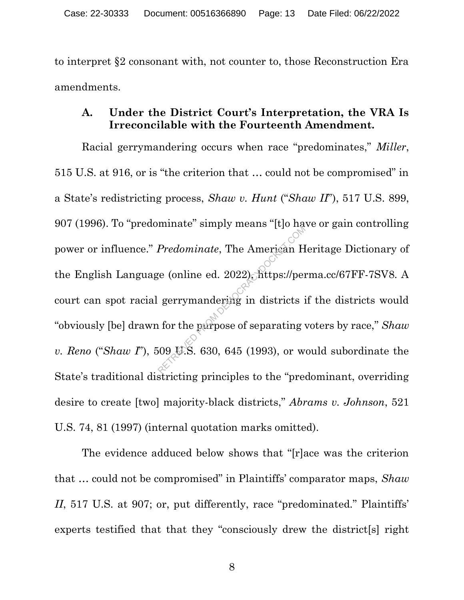to interpret §2 consonant with, not counter to, those Reconstruction Era amendments.

## A. Under the District Court's Interpretation, the VRA Is Irreconcilable with the Fourteenth Amendment.

Racial gerrymandering occurs when race "predominates," *Miller*, 515 U.S. at 916, or is "the criterion that … could not be compromised" in a State's redistricting process, Shaw v. Hunt ("Shaw II"), 517 U.S. 899, 907 (1996). To "predominate" simply means "[t]o have or gain controlling power or influence." Predominate, The American Heritage Dictionary of the English Language (online ed. 2022), https://perma.cc/67FF-7SV8. A court can spot racial gerrymandering in districts if the districts would "obviously [be] drawn for the purpose of separating voters by race," Shaw v. Reno ("Shaw I"), 509 U.S. 630, 645 (1993), or would subordinate the State's traditional districting principles to the "predominant, overriding desire to create [two] majority-black districts," Abrams v. Johnson, 521 U.S. 74, 81 (1997) (internal quotation marks omitted). Predominate, The American H<br>ge (online ed. 2022). https://per<br>gerrymandering in districts is<br>a for the parpose of separating v<br> $(09 \text{ W.S. } 630, 645 (1993), \text{ or } \infty)$ 

The evidence adduced below shows that "[r]ace was the criterion that ... could not be compromised" in Plaintiffs' comparator maps, Shaw II, 517 U.S. at 907; or, put differently, race "predominated." Plaintiffs' experts testified that that they "consciously drew the district[s] right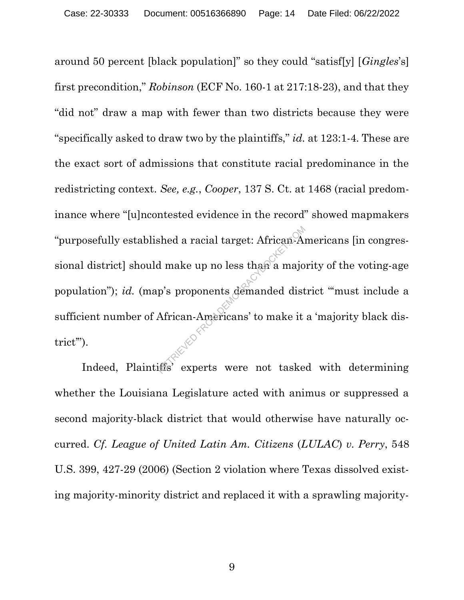around 50 percent [black population]" so they could "satisf[y] [Gingles's] first precondition," Robinson (ECF No. 160-1 at 217:18-23), and that they "did not" draw a map with fewer than two districts because they were "specifically asked to draw two by the plaintiffs," id. at 123:1-4. These are the exact sort of admissions that constitute racial predominance in the redistricting context. See, e.g., Cooper, 137 S. Ct. at 1468 (racial predominance where "[u]ncontested evidence in the record" showed mapmakers "purposefully established a racial target: African-Americans [in congressional district] should make up no less than a majority of the voting-age population"); id. (map's proponents demanded district "must include a sufficient number of African-Americans' to make it a 'majority black district"). Indeed, Plaintiffs' experts were not tasked with determining and Median and Democracy in the experts were not tasked with determining and  $\frac{1}{2}$  and  $\frac{1}{2}$ . Indeed, Plaintiffs' experts were not tasked with determinin

whether the Louisiana Legislature acted with animus or suppressed a second majority-black district that would otherwise have naturally occurred. Cf. League of United Latin Am. Citizens (LULAC) v. Perry, 548 U.S. 399, 427-29 (2006) (Section 2 violation where Texas dissolved existing majority-minority district and replaced it with a sprawling majority-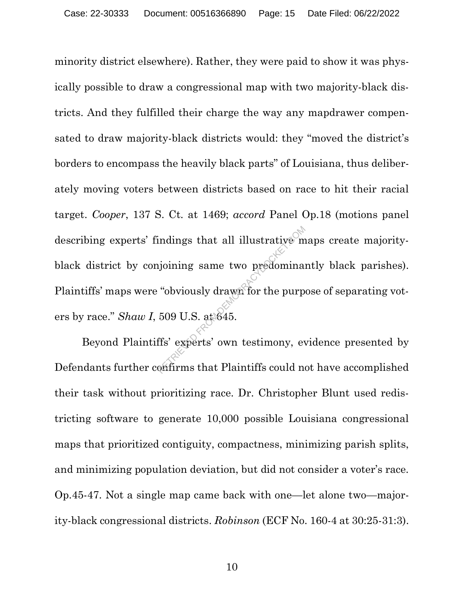minority district elsewhere). Rather, they were paid to show it was physically possible to draw a congressional map with two majority-black districts. And they fulfilled their charge the way any mapdrawer compensated to draw majority-black districts would: they "moved the district's borders to encompass the heavily black parts" of Louisiana, thus deliberately moving voters between districts based on race to hit their racial target. Cooper, 137 S. Ct. at 1469; accord Panel Op.18 (motions panel describing experts' findings that all illustrative maps create majorityblack district by conjoining same two predominantly black parishes). Plaintiffs' maps were "obviously drawn for the purpose of separating voters by race."  $Shaw I$ , 509 U.S. at 645. indings that all illustrative m<br>
ijoining same two predomina:<br>
"obviously drawn for the purp<br>
509 U.S. at 645.<br>
ffs' experts' own testimony, even firms that Plaintiffs could not

Beyond Plaintiffs' experts' own testimony, evidence presented by Defendants further confirms that Plaintiffs could not have accomplished their task without prioritizing race. Dr. Christopher Blunt used redistricting software to generate 10,000 possible Louisiana congressional maps that prioritized contiguity, compactness, minimizing parish splits, and minimizing population deviation, but did not consider a voter's race. Op.45-47. Not a single map came back with one—let alone two—majority-black congressional districts. Robinson (ECF No. 160-4 at 30:25-31:3).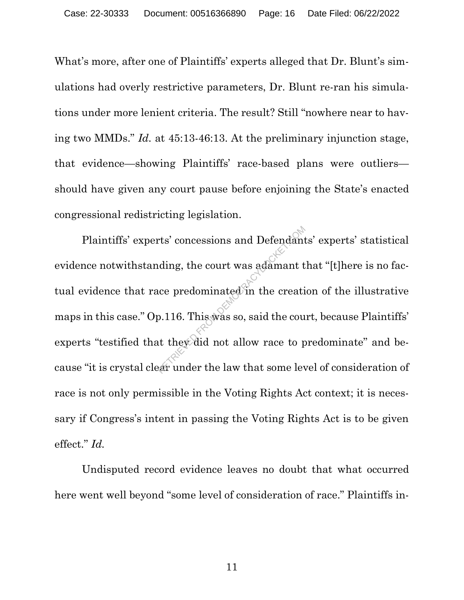What's more, after one of Plaintiffs' experts alleged that Dr. Blunt's simulations had overly restrictive parameters, Dr. Blunt re-ran his simulations under more lenient criteria. The result? Still "nowhere near to having two MMDs." Id. at 45:13-46:13. At the preliminary injunction stage, that evidence—showing Plaintiffs' race-based plans were outliers should have given any court pause before enjoining the State's enacted congressional redistricting legislation.

Plaintiffs' experts' concessions and Defendants' experts' statistical evidence notwithstanding, the court was adamant that "[t]here is no factual evidence that race predominated in the creation of the illustrative maps in this case." Op.116. This was so, said the court, because Plaintiffs' experts "testified that they did not allow race to predominate" and because "it is crystal clear under the law that some level of consideration of race is not only permissible in the Voting Rights Act context; it is necessary if Congress's intent in passing the Voting Rights Act is to be given effect." Id. rts' concessions and Defendant<br>
lding, the court was adamant t<br>
ice predominated in the creati<br>
p.116. This was so, said the court<br>
they did not allow race to p<br>
are under the law that some lever

Undisputed record evidence leaves no doubt that what occurred here went well beyond "some level of consideration of race." Plaintiffs in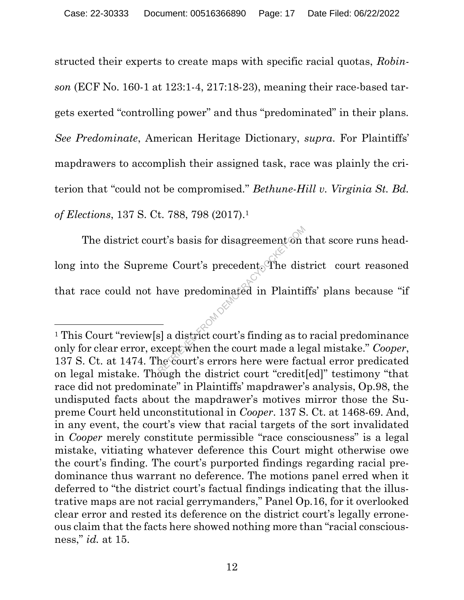structed their experts to create maps with specific racial quotas, Robinson (ECF No. 160-1 at 123:1-4, 217:18-23), meaning their race-based targets exerted "controlling power" and thus "predominated" in their plans. See Predominate, American Heritage Dictionary, supra. For Plaintiffs' mapdrawers to accomplish their assigned task, race was plainly the criterion that "could not be compromised." Bethune-Hill v. Virginia St. Bd. of Elections, 137 S. Ct. 788, 798 (2017).<sup>1</sup>

The district court's basis for disagreement on that score runs headlong into the Supreme Court's precedent. The district court reasoned that race could not have predominated in Plaintiffs' plans because "if rt's basis for disagreement on<br>
me Court's precedent. The dis<br>
have predominated in Plainti:<br>
-<br>
s] a district court's finding as to<br>
xcept when the court made a le<br>
he court's errors here were face

<sup>1</sup> This Court "review[s] a district court's finding as to racial predominance only for clear error, except when the court made a legal mistake." Cooper, 137 S. Ct. at 1474. The court's errors here were factual error predicated on legal mistake. Though the district court "credit[ed]" testimony "that race did not predominate" in Plaintiffs' mapdrawer's analysis, Op.98, the undisputed facts about the mapdrawer's motives mirror those the Supreme Court held unconstitutional in Cooper. 137 S. Ct. at 1468-69. And, in any event, the court's view that racial targets of the sort invalidated in Cooper merely constitute permissible "race consciousness" is a legal mistake, vitiating whatever deference this Court might otherwise owe the court's finding. The court's purported findings regarding racial predominance thus warrant no deference. The motions panel erred when it deferred to "the district court's factual findings indicating that the illustrative maps are not racial gerrymanders," Panel Op.16, for it overlooked clear error and rested its deference on the district court's legally erroneous claim that the facts here showed nothing more than "racial consciousness," id. at 15.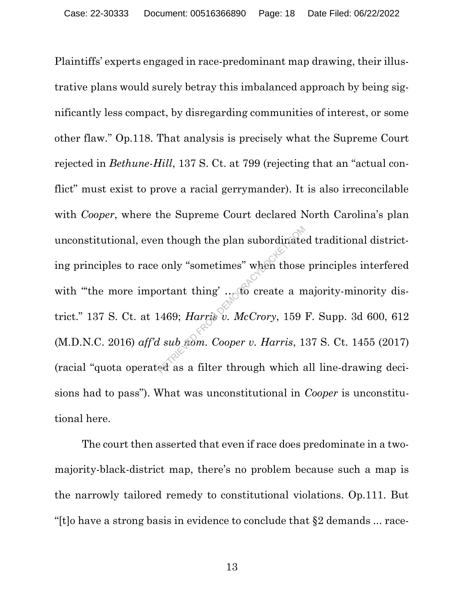Plaintiffs' experts engaged in race-predominant map drawing, their illustrative plans would surely betray this imbalanced approach by being significantly less compact, by disregarding communities of interest, or some other flaw." Op.118. That analysis is precisely what the Supreme Court rejected in Bethune-Hill, 137 S. Ct. at 799 (rejecting that an "actual conflict" must exist to prove a racial gerrymander). It is also irreconcilable with *Cooper*, where the Supreme Court declared North Carolina's plan unconstitutional, even though the plan subordinated traditional districting principles to race only "sometimes" when those principles interfered with "the more important thing'  $\ldots$  to create a majority-minority district." 137 S. Ct. at 1469; *Harris v. McCrory*, 159 F. Supp. 3d 600, 612 (M.D.N.C. 2016) aff'd sub nom. Cooper v. Harris, 137 S. Ct. 1455 (2017) (racial "quota operated as a filter through which all line-drawing decisions had to pass"). What was unconstitutional in Cooper is unconstitutional here. In though the plan subordinate<br>  $\therefore$  only "sometimes" when those<br>
ortant thing'  $\therefore$  60 create a m<br>
1469; *Harris v. McCrory*, 159<br> *d* sub from. Cooper v. *Harris*, 1<br>
ed as a filter through which a

The court then asserted that even if race does predominate in a twomajority-black-district map, there's no problem because such a map is the narrowly tailored remedy to constitutional violations. Op.111. But "[t]o have a strong basis in evidence to conclude that §2 demands ... race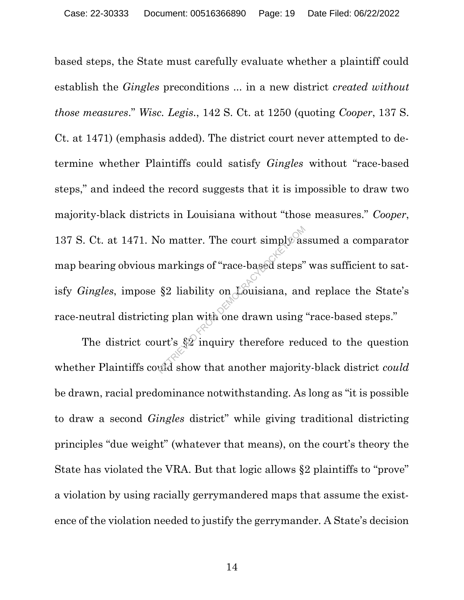based steps, the State must carefully evaluate whether a plaintiff could establish the Gingles preconditions ... in a new district created without those measures." Wisc. Legis., 142 S. Ct. at 1250 (quoting Cooper, 137 S. Ct. at 1471) (emphasis added). The district court never attempted to determine whether Plaintiffs could satisfy Gingles without "race-based steps," and indeed the record suggests that it is impossible to draw two majority-black districts in Louisiana without "those measures." Cooper, 137 S. Ct. at 1471. No matter. The court simply assumed a comparator map bearing obvious markings of "race-based steps" was sufficient to satisfy *Gingles*, impose  $\S2$  liability on Louisiana, and replace the State's race-neutral districting plan with one drawn using "race-based steps." Io matter. The court simply as<br>markings of "race-based steps"<br>§2 liability on Louisiana, and<br>ng plan with one drawn using<br>urt's §2 inquiry therefore red<br>wid show that another majority

The district court's §2 inquiry therefore reduced to the question whether Plaintiffs could show that another majority-black district could be drawn, racial predominance notwithstanding. As long as "it is possible to draw a second Gingles district" while giving traditional districting principles "due weight" (whatever that means), on the court's theory the State has violated the VRA. But that logic allows §2 plaintiffs to "prove" a violation by using racially gerrymandered maps that assume the existence of the violation needed to justify the gerrymander. A State's decision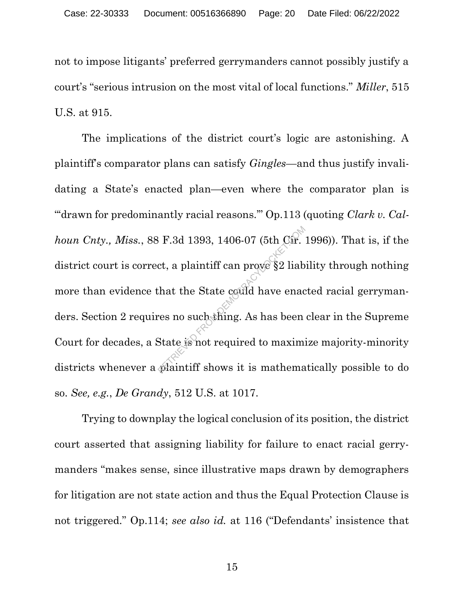not to impose litigants' preferred gerrymanders cannot possibly justify a court's "serious intrusion on the most vital of local functions." Miller, 515 U.S. at 915.

The implications of the district court's logic are astonishing. A plaintiff's comparator plans can satisfy Gingles—and thus justify invalidating a State's enacted plan—even where the comparator plan is ""drawn for predominantly racial reasons."" Op.113 (quoting Clark v. Calhoun Cnty., Miss., 88 F.3d 1393, 1406-07 (5th Cir. 1996)). That is, if the district court is correct, a plaintiff can prove §2 liability through nothing more than evidence that the State could have enacted racial gerrymanders. Section 2 requires no such thing. As has been clear in the Supreme Court for decades, a State is not required to maximize majority-minority districts whenever a plaintiff shows it is mathematically possible to do so. See, e.g., De Grandy, 512 U.S. at 1017.  $R = R$ .3d 1393, 1406-07 (5th Cir.<br>
ct, a plaintiff can prove §2 liab<br>
chat the State could have enad<br>
ces no such thing. As has been<br>
State is not required to maxime.<br>
plaintiff shows it is mathema

Trying to downplay the logical conclusion of its position, the district court asserted that assigning liability for failure to enact racial gerrymanders "makes sense, since illustrative maps drawn by demographers for litigation are not state action and thus the Equal Protection Clause is not triggered." Op.114; see also id. at 116 ("Defendants' insistence that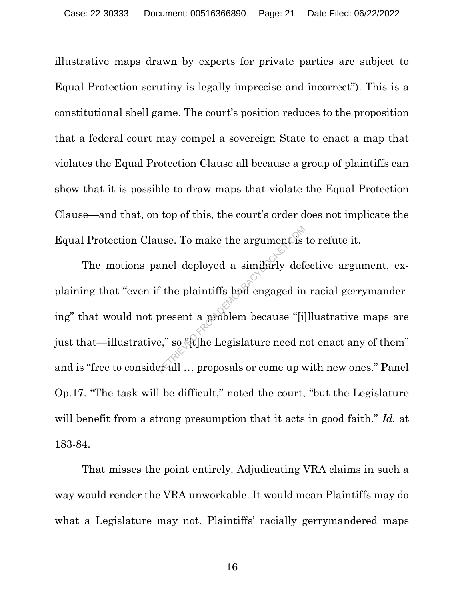illustrative maps drawn by experts for private parties are subject to Equal Protection scrutiny is legally imprecise and incorrect"). This is a constitutional shell game. The court's position reduces to the proposition that a federal court may compel a sovereign State to enact a map that violates the Equal Protection Clause all because a group of plaintiffs can show that it is possible to draw maps that violate the Equal Protection Clause—and that, on top of this, the court's order does not implicate the Equal Protection Clause. To make the argument is to refute it.

The motions panel deployed a similarly defective argument, explaining that "even if the plaintiffs had engaged in racial gerrymandering" that would not present a problem because "[i]llustrative maps are just that—illustrative," so "[t]he Legislature need not enact any of them" and is "free to consider all ... proposals or come up with new ones." Panel Op.17. "The task will be difficult," noted the court, "but the Legislature will benefit from a strong presumption that it acts in good faith." Id. at 183-84. use. To make the argument is<br>anel deployed a similarly deference of the plaintiffs had engaged in<br>present a groblem because "[i]<br>e," so "[t] he Legislature need n

That misses the point entirely. Adjudicating VRA claims in such a way would render the VRA unworkable. It would mean Plaintiffs may do what a Legislature may not. Plaintiffs' racially gerrymandered maps

16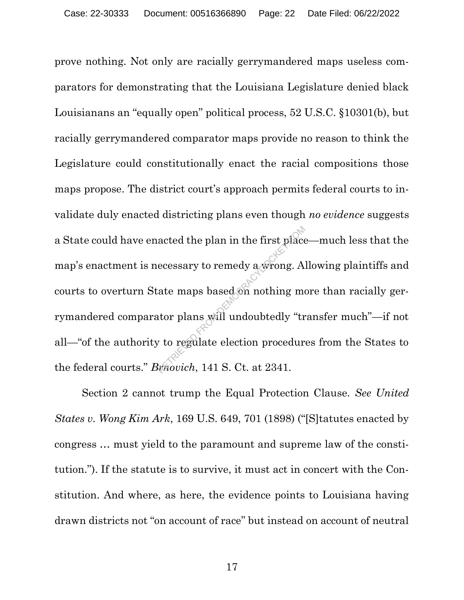prove nothing. Not only are racially gerrymandered maps useless comparators for demonstrating that the Louisiana Legislature denied black Louisianans an "equally open" political process, 52 U.S.C. §10301(b), but racially gerrymandered comparator maps provide no reason to think the Legislature could constitutionally enact the racial compositions those maps propose. The district court's approach permits federal courts to invalidate duly enacted districting plans even though no evidence suggests a State could have enacted the plan in the first place—much less that the map's enactment is necessary to remedy a wrong. Allowing plaintiffs and courts to overturn State maps based on nothing more than racially gerrymandered comparator plans will undoubtedly "transfer much"—if not all—"of the authority to regulate election procedures from the States to the federal courts." Brnovich, 141 S. Ct. at 2341. acted the plan in the first place<br>ecessary to remedy a wrong. A<br>ate maps based on nothing me<br>tor plans will undoubtedly "trutor plans will undoubtedly"<br>to regulate election procedur<br>chouch, 141 S. Ct. at 2341.

Section 2 cannot trump the Equal Protection Clause. See United States v. Wong Kim Ark, 169 U.S. 649, 701 (1898) ("[S]tatutes enacted by congress … must yield to the paramount and supreme law of the constitution."). If the statute is to survive, it must act in concert with the Constitution. And where, as here, the evidence points to Louisiana having drawn districts not "on account of race" but instead on account of neutral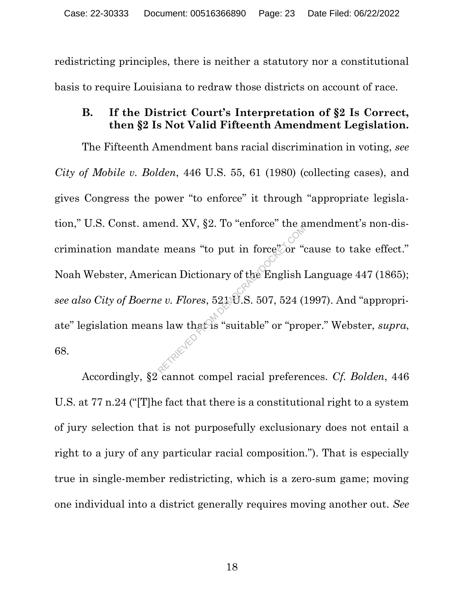redistricting principles, there is neither a statutory nor a constitutional basis to require Louisiana to redraw those districts on account of race.

### B. If the District Court's Interpretation of §2 Is Correct, then §2 Is Not Valid Fifteenth Amendment Legislation.

The Fifteenth Amendment bans racial discrimination in voting, see City of Mobile v. Bolden, 446 U.S. 55, 61 (1980) (collecting cases), and gives Congress the power "to enforce" it through "appropriate legislation," U.S. Const. amend. XV, §2. To "enforce" the amendment's non-discrimination mandate means "to put in force" or "cause to take effect." Noah Webster, American Dictionary of the English Language 447 (1865); see also City of Boerne v. Flores, 521 U.S. 507, 524 (1997). And "appropriate" legislation means law that is "suitable" or "proper." Webster, *supra*, 68. Process and the particular means "to put in force" or "depth" and Dictionary of the English  $\theta$  v. Flores, 521 \P.S. 507, 524 (1)

Accordingly, §2 cannot compel racial preferences. Cf. Bolden, 446 U.S. at 77 n.24 ("[T]he fact that there is a constitutional right to a system of jury selection that is not purposefully exclusionary does not entail a right to a jury of any particular racial composition."). That is especially true in single-member redistricting, which is a zero-sum game; moving one individual into a district generally requires moving another out. See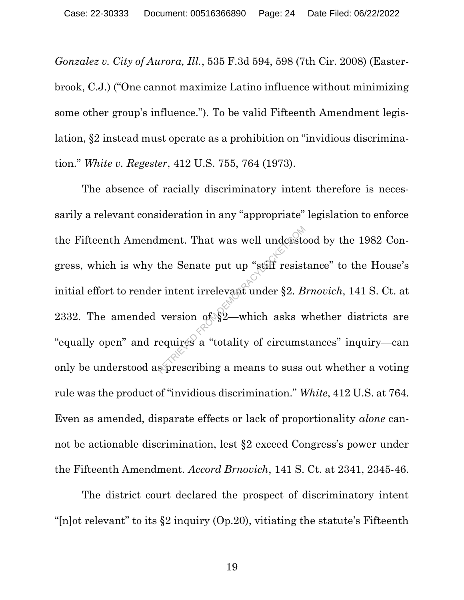Gonzalez v. City of Aurora, Ill., 535 F.3d 594, 598 (7th Cir. 2008) (Easterbrook, C.J.) ("One cannot maximize Latino influence without minimizing some other group's influence."). To be valid Fifteenth Amendment legislation, §2 instead must operate as a prohibition on "invidious discrimination." White v. Regester, 412 U.S. 755, 764 (1973).

The absence of racially discriminatory intent therefore is necessarily a relevant consideration in any "appropriate" legislation to enforce the Fifteenth Amendment. That was well understood by the 1982 Congress, which is why the Senate put up "stiff resistance" to the House's initial effort to render intent irrelevant under §2. Brnovich, 141 S. Ct. at 2332. The amended version of §2—which asks whether districts are "equally open" and requires a "totality of circumstances" inquiry—can only be understood as prescribing a means to suss out whether a voting rule was the product of "invidious discrimination." White, 412 U.S. at 764. Even as amended, disparate effects or lack of proportionality alone cannot be actionable discrimination, lest §2 exceed Congress's power under the Fifteenth Amendment. Accord Brnovich, 141 S. Ct. at 2341, 2345-46. Iment. That was well understduckers when the Senate put up "stiff resist r intent irrelevant under §2. B version of §2—which asks version  $\frac{1}{2}$  which asks version  $\frac{1}{2}$  which asks version a means to suss

The district court declared the prospect of discriminatory intent " $[n]$ ot relevant" to its §2 inquiry (Op.20), vitiating the statute's Fifteenth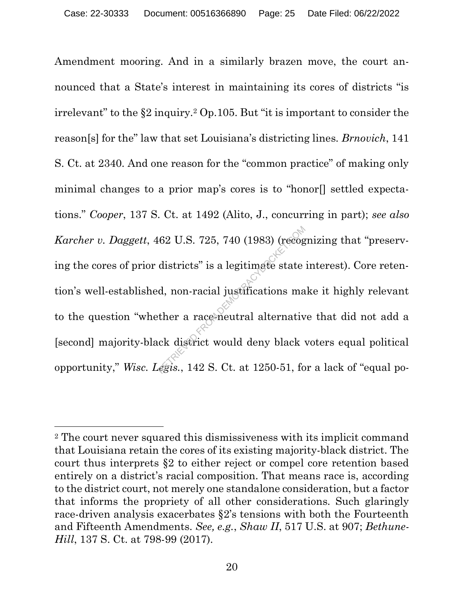Amendment mooring. And in a similarly brazen move, the court announced that a State's interest in maintaining its cores of districts "is irrelevant" to the §2 inquiry.2 Op.105. But "it is important to consider the reason[s] for the" law that set Louisiana's districting lines. Brnovich, 141 S. Ct. at 2340. And one reason for the "common practice" of making only minimal changes to a prior map's cores is to "honor[] settled expectations." Cooper, 137 S. Ct. at 1492 (Alito, J., concurring in part); see also Karcher v. Daggett, 462 U.S. 725, 740 (1983) (recognizing that "preserving the cores of prior districts" is a legitimate state interest). Core retention's well-established, non-racial justifications make it highly relevant to the question "whether a race-neutral alternative that did not add a [second] majority-black district would deny black voters equal political opportunity," Wisc. Legis., 142 S. Ct. at 1250-51, for a lack of "equal po-RETRIEVED S. 725, 740 (1983) (recognal districts" is a legitimate state<br>d, non-racial justifications matcher a race-neutral alternative<br>ck district would deny black<br>egis., 142 S. Ct. at 1250-51, fo

<sup>2</sup> The court never squared this dismissiveness with its implicit command that Louisiana retain the cores of its existing majority-black district. The court thus interprets §2 to either reject or compel core retention based entirely on a district's racial composition. That means race is, according to the district court, not merely one standalone consideration, but a factor that informs the propriety of all other considerations. Such glaringly race-driven analysis exacerbates §2's tensions with both the Fourteenth and Fifteenth Amendments. See, e.g., Shaw II, 517 U.S. at 907; Bethune-Hill, 137 S. Ct. at 798-99 (2017).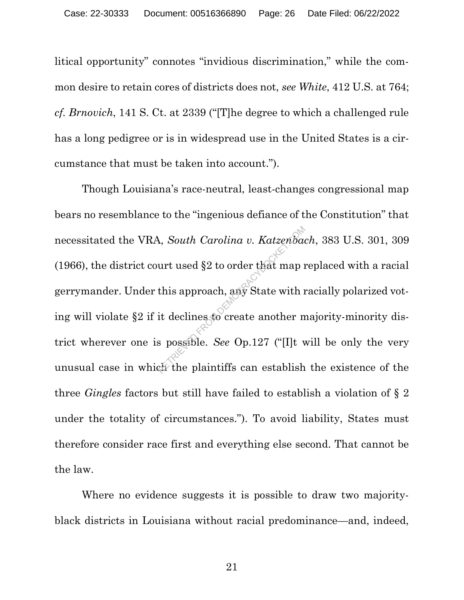litical opportunity" connotes "invidious discrimination," while the common desire to retain cores of districts does not, see White, 412 U.S. at 764; cf. Brnovich, 141 S. Ct. at 2339 ("[T]he degree to which a challenged rule has a long pedigree or is in widespread use in the United States is a circumstance that must be taken into account.").

Though Louisiana's race-neutral, least-changes congressional map bears no resemblance to the "ingenious defiance of the Constitution" that necessitated the VRA, South Carolina v. Katzenbach, 383 U.S. 301, 309 (1966), the district court used §2 to order that map replaced with a racial gerrymander. Under this approach, any State with racially polarized voting will violate §2 if it declines to create another majority-minority district wherever one is possible. See Op.127 ("[I]t will be only the very unusual case in which the plaintiffs can establish the existence of the three Gingles factors but still have failed to establish a violation of § 2 under the totality of circumstances."). To avoid liability, States must therefore consider race first and everything else second. That cannot be the law. A, South Carolina v. Katzenbad<br>urt used §2 to order that map if<br>this approach, any State with if<br>it declines to create another m<br>s possible. See Op.127 ("[I]t v<br>ch the plaintiffs can establish

Where no evidence suggests it is possible to draw two majorityblack districts in Louisiana without racial predominance—and, indeed,

21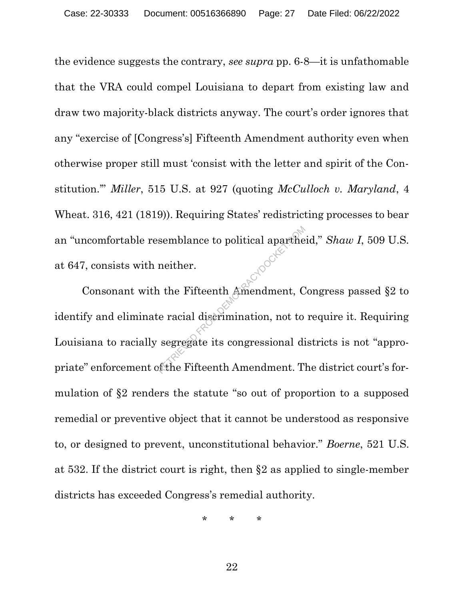the evidence suggests the contrary, see supra pp. 6-8—it is unfathomable that the VRA could compel Louisiana to depart from existing law and draw two majority-black districts anyway. The court's order ignores that any "exercise of [Congress's] Fifteenth Amendment authority even when otherwise proper still must 'consist with the letter and spirit of the Constitution." Miller, 515 U.S. at 927 (quoting McCulloch v. Maryland, 4 Wheat. 316, 421 (1819)). Requiring States' redistricting processes to bear an "uncomfortable resemblance to political apartheid," Shaw I, 509 U.S. at 647, consists with neither.

Consonant with the Fifteenth Amendment, Congress passed §2 to identify and eliminate racial discrimination, not to require it. Requiring Louisiana to racially segregate its congressional districts is not "appropriate" enforcement of the Fifteenth Amendment. The district court's formulation of §2 renders the statute "so out of proportion to a supposed remedial or preventive object that it cannot be understood as responsive to, or designed to prevent, unconstitutional behavior." Boerne, 521 U.S. at 532. If the district court is right, then §2 as applied to single-member districts has exceeded Congress's remedial authority. semblance to political aparthe<br>
neither.<br>
1 the Fifteenth Amendment, C<br>
is racial discrimination, not to<br>
segregate its congressional discrimination.

\* \* \*

22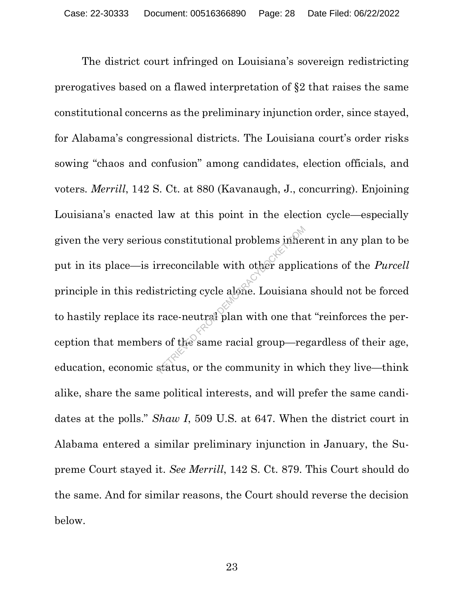The district court infringed on Louisiana's sovereign redistricting prerogatives based on a flawed interpretation of §2 that raises the same constitutional concerns as the preliminary injunction order, since stayed, for Alabama's congressional districts. The Louisiana court's order risks sowing "chaos and confusion" among candidates, election officials, and voters. Merrill, 142 S. Ct. at 880 (Kavanaugh, J., concurring). Enjoining Louisiana's enacted law at this point in the election cycle—especially given the very serious constitutional problems inherent in any plan to be put in its place—is irreconcilable with other applications of the Purcell principle in this redistricting cycle alone. Louisiana should not be forced to hastily replace its race-neutral plan with one that "reinforces the perception that members of the same racial group—regardless of their age, education, economic status, or the community in which they live—think alike, share the same political interests, and will prefer the same candidates at the polls." Shaw I, 509 U.S. at 647. When the district court in Alabama entered a similar preliminary injunction in January, the Supreme Court stayed it. See Merrill, 142 S. Ct. 879. This Court should do the same. And for similar reasons, the Court should reverse the decision below. s constitutional problems inher<br>rreconcilable with other applic<br>stricting cycle alone. Louisiana<br>race-neutral plan with one that<br>s of the same racial group—re<br>status, or the community in w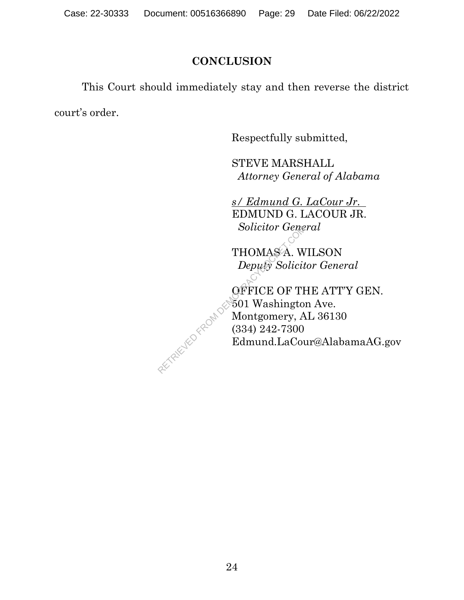## **CONCLUSION**

 This Court should immediately stay and then reverse the district court's order.

Respectfully submitted,

STEVE MARSHALL Attorney General of Alabama

s/ Edmund G. LaCour Jr. EDMUND G. LACOUR JR. Solicitor General

THOMAS A. WILSON Deputy Solicitor General

OFFICE OF THE ATT'Y GEN. 501 Washington Ave. Montgomery, AL 36130 (334) 242-7300 Edmund.LaCour@AlabamaAG.gov

RETRIEVED FROM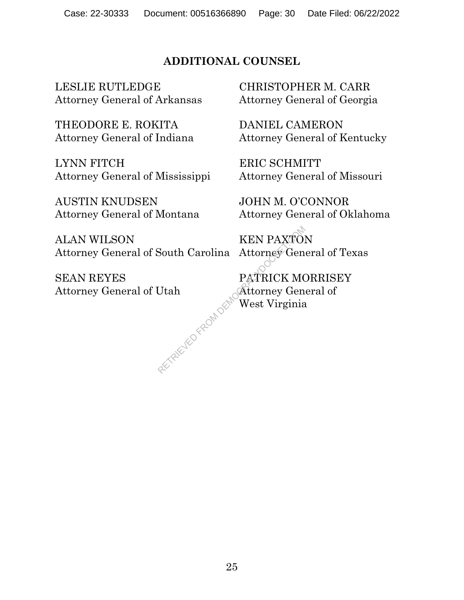## ADDITIONAL COUNSEL

LESLIE RUTLEDGE Attorney General of Arkansas

THEODORE E. ROKITA Attorney General of Indiana

LYNN FITCH Attorney General of Mississippi

AUSTIN KNUDSEN Attorney General of Montana

ALAN WILSON Attorney General of South Carolina

SEAN REYES Attorney General of Utah

CHRISTOPHER M. CARR Attorney General of Georgia

DANIEL CAMERON Attorney General of Kentucky

ERIC SCHMITT Attorney General of Missouri

JOHN M. O'CONNOR Attorney General of Oklahoma

KEN PAXTON Attorney General of Texas

PATRICK MORRISEY Attorney General of West Virginia PATRI<br>Utah<br>Exploracy Republican West Y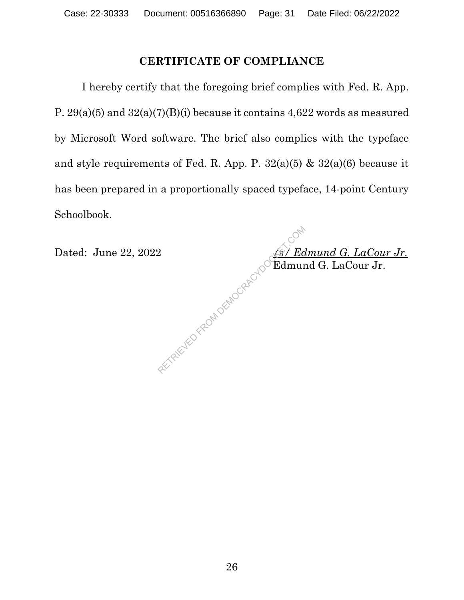## CERTIFICATE OF COMPLIANCE

 I hereby certify that the foregoing brief complies with Fed. R. App. P.  $29(a)(5)$  and  $32(a)(7)(B)(i)$  because it contains  $4,622$  words as measured by Microsoft Word software. The brief also complies with the typeface and style requirements of Fed. R. App. P.  $32(a)(5)$  &  $32(a)(6)$  because it has been prepared in a proportionally spaced typeface, 14-point Century Schoolbook.

Dated: June 22, 2022  $\frac{\sqrt{s} \, Z \, \text{Edmund } G. \text{ } La Cour Jr.}$  $\bigcirc^{\circ}$ Edmund G. LaCour Jr. 2<br>CAREWED FROM DEMOCRACY DO Edmun